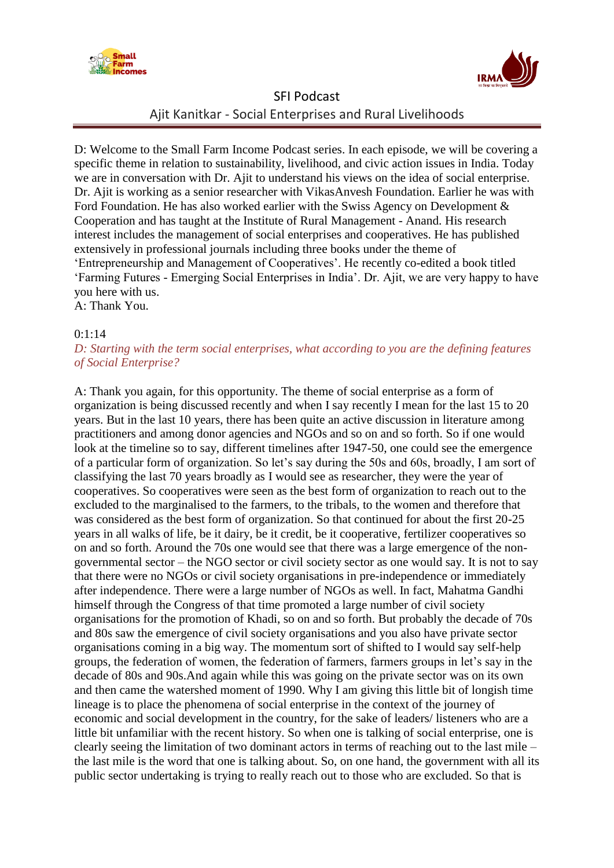



D: Welcome to the Small Farm Income Podcast series. In each episode, we will be covering a specific theme in relation to sustainability, livelihood, and civic action issues in India. Today we are in conversation with Dr. Ajit to understand his views on the idea of social enterprise. Dr. Ajit is working as a senior researcher with VikasAnvesh Foundation. Earlier he was with Ford Foundation. He has also worked earlier with the Swiss Agency on Development & Cooperation and has taught at the Institute of Rural Management - Anand. His research interest includes the management of social enterprises and cooperatives. He has published extensively in professional journals including three books under the theme of "Entrepreneurship and Management of Cooperatives". He recently co-edited a book titled "Farming Futures - Emerging Social Enterprises in India". Dr. Ajit, we are very happy to have you here with us. A: Thank You.

# $0:1:14$

### *D: Starting with the term social enterprises, what according to you are the defining features of Social Enterprise?*

A: Thank you again, for this opportunity. The theme of social enterprise as a form of organization is being discussed recently and when I say recently I mean for the last 15 to 20 years. But in the last 10 years, there has been quite an active discussion in literature among practitioners and among donor agencies and NGOs and so on and so forth. So if one would look at the timeline so to say, different timelines after 1947-50, one could see the emergence of a particular form of organization. So let"s say during the 50s and 60s, broadly, I am sort of classifying the last 70 years broadly as I would see as researcher, they were the year of cooperatives. So cooperatives were seen as the best form of organization to reach out to the excluded to the marginalised to the farmers, to the tribals, to the women and therefore that was considered as the best form of organization. So that continued for about the first 20-25 years in all walks of life, be it dairy, be it credit, be it cooperative, fertilizer cooperatives so on and so forth. Around the 70s one would see that there was a large emergence of the nongovernmental sector – the NGO sector or civil society sector as one would say. It is not to say that there were no NGOs or civil society organisations in pre-independence or immediately after independence. There were a large number of NGOs as well. In fact, Mahatma Gandhi himself through the Congress of that time promoted a large number of civil society organisations for the promotion of Khadi, so on and so forth. But probably the decade of 70s and 80s saw the emergence of civil society organisations and you also have private sector organisations coming in a big way. The momentum sort of shifted to I would say self-help groups, the federation of women, the federation of farmers, farmers groups in let"s say in the decade of 80s and 90s.And again while this was going on the private sector was on its own and then came the watershed moment of 1990. Why I am giving this little bit of longish time lineage is to place the phenomena of social enterprise in the context of the journey of economic and social development in the country, for the sake of leaders/ listeners who are a little bit unfamiliar with the recent history. So when one is talking of social enterprise, one is clearly seeing the limitation of two dominant actors in terms of reaching out to the last mile – the last mile is the word that one is talking about. So, on one hand, the government with all its public sector undertaking is trying to really reach out to those who are excluded. So that is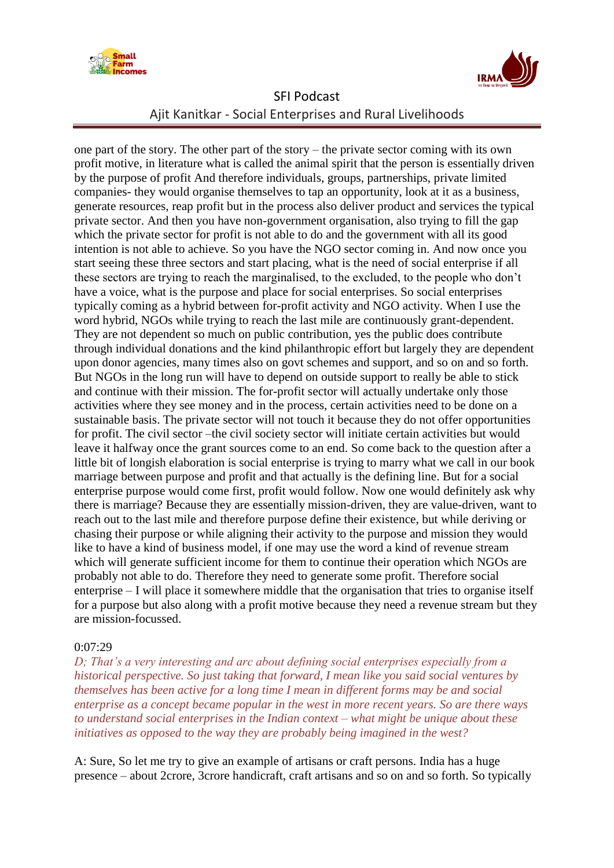



one part of the story. The other part of the story – the private sector coming with its own profit motive, in literature what is called the animal spirit that the person is essentially driven by the purpose of profit And therefore individuals, groups, partnerships, private limited companies- they would organise themselves to tap an opportunity, look at it as a business, generate resources, reap profit but in the process also deliver product and services the typical private sector. And then you have non-government organisation, also trying to fill the gap which the private sector for profit is not able to do and the government with all its good intention is not able to achieve. So you have the NGO sector coming in. And now once you start seeing these three sectors and start placing, what is the need of social enterprise if all these sectors are trying to reach the marginalised, to the excluded, to the people who don"t have a voice, what is the purpose and place for social enterprises. So social enterprises typically coming as a hybrid between for-profit activity and NGO activity. When I use the word hybrid, NGOs while trying to reach the last mile are continuously grant-dependent. They are not dependent so much on public contribution, yes the public does contribute through individual donations and the kind philanthropic effort but largely they are dependent upon donor agencies, many times also on govt schemes and support, and so on and so forth. But NGOs in the long run will have to depend on outside support to really be able to stick and continue with their mission. The for-profit sector will actually undertake only those activities where they see money and in the process, certain activities need to be done on a sustainable basis. The private sector will not touch it because they do not offer opportunities for profit. The civil sector –the civil society sector will initiate certain activities but would leave it halfway once the grant sources come to an end. So come back to the question after a little bit of longish elaboration is social enterprise is trying to marry what we call in our book marriage between purpose and profit and that actually is the defining line. But for a social enterprise purpose would come first, profit would follow. Now one would definitely ask why there is marriage? Because they are essentially mission-driven, they are value-driven, want to reach out to the last mile and therefore purpose define their existence, but while deriving or chasing their purpose or while aligning their activity to the purpose and mission they would like to have a kind of business model, if one may use the word a kind of revenue stream which will generate sufficient income for them to continue their operation which NGOs are probably not able to do. Therefore they need to generate some profit. Therefore social enterprise – I will place it somewhere middle that the organisation that tries to organise itself for a purpose but also along with a profit motive because they need a revenue stream but they are mission-focussed.

#### 0:07:29

*D; That's a very interesting and arc about defining social enterprises especially from a historical perspective. So just taking that forward, I mean like you said social ventures by themselves has been active for a long time I mean in different forms may be and social enterprise as a concept became popular in the west in more recent years. So are there ways to understand social enterprises in the Indian context – what might be unique about these initiatives as opposed to the way they are probably being imagined in the west?*

A: Sure, So let me try to give an example of artisans or craft persons. India has a huge presence – about 2crore, 3crore handicraft, craft artisans and so on and so forth. So typically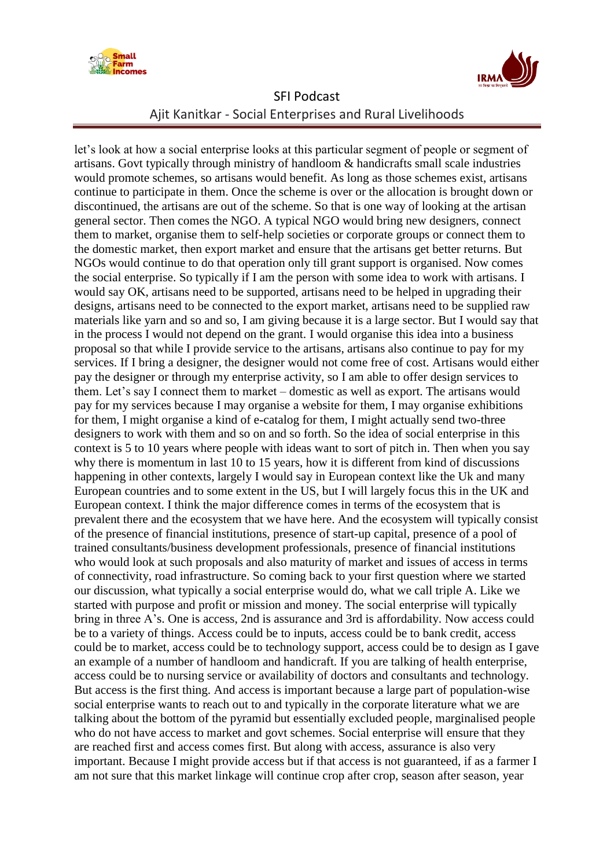



let"s look at how a social enterprise looks at this particular segment of people or segment of artisans. Govt typically through ministry of handloom & handicrafts small scale industries would promote schemes, so artisans would benefit. As long as those schemes exist, artisans continue to participate in them. Once the scheme is over or the allocation is brought down or discontinued, the artisans are out of the scheme. So that is one way of looking at the artisan general sector. Then comes the NGO. A typical NGO would bring new designers, connect them to market, organise them to self-help societies or corporate groups or connect them to the domestic market, then export market and ensure that the artisans get better returns. But NGOs would continue to do that operation only till grant support is organised. Now comes the social enterprise. So typically if I am the person with some idea to work with artisans. I would say OK, artisans need to be supported, artisans need to be helped in upgrading their designs, artisans need to be connected to the export market, artisans need to be supplied raw materials like yarn and so and so, I am giving because it is a large sector. But I would say that in the process I would not depend on the grant. I would organise this idea into a business proposal so that while I provide service to the artisans, artisans also continue to pay for my services. If I bring a designer, the designer would not come free of cost. Artisans would either pay the designer or through my enterprise activity, so I am able to offer design services to them. Let's say I connect them to market – domestic as well as export. The artisans would pay for my services because I may organise a website for them, I may organise exhibitions for them, I might organise a kind of e-catalog for them, I might actually send two-three designers to work with them and so on and so forth. So the idea of social enterprise in this context is 5 to 10 years where people with ideas want to sort of pitch in. Then when you say why there is momentum in last 10 to 15 years, how it is different from kind of discussions happening in other contexts, largely I would say in European context like the Uk and many European countries and to some extent in the US, but I will largely focus this in the UK and European context. I think the major difference comes in terms of the ecosystem that is prevalent there and the ecosystem that we have here. And the ecosystem will typically consist of the presence of financial institutions, presence of start-up capital, presence of a pool of trained consultants/business development professionals, presence of financial institutions who would look at such proposals and also maturity of market and issues of access in terms of connectivity, road infrastructure. So coming back to your first question where we started our discussion, what typically a social enterprise would do, what we call triple A. Like we started with purpose and profit or mission and money. The social enterprise will typically bring in three A"s. One is access, 2nd is assurance and 3rd is affordability. Now access could be to a variety of things. Access could be to inputs, access could be to bank credit, access could be to market, access could be to technology support, access could be to design as I gave an example of a number of handloom and handicraft. If you are talking of health enterprise, access could be to nursing service or availability of doctors and consultants and technology. But access is the first thing. And access is important because a large part of population-wise social enterprise wants to reach out to and typically in the corporate literature what we are talking about the bottom of the pyramid but essentially excluded people, marginalised people who do not have access to market and govt schemes. Social enterprise will ensure that they are reached first and access comes first. But along with access, assurance is also very important. Because I might provide access but if that access is not guaranteed, if as a farmer I am not sure that this market linkage will continue crop after crop, season after season, year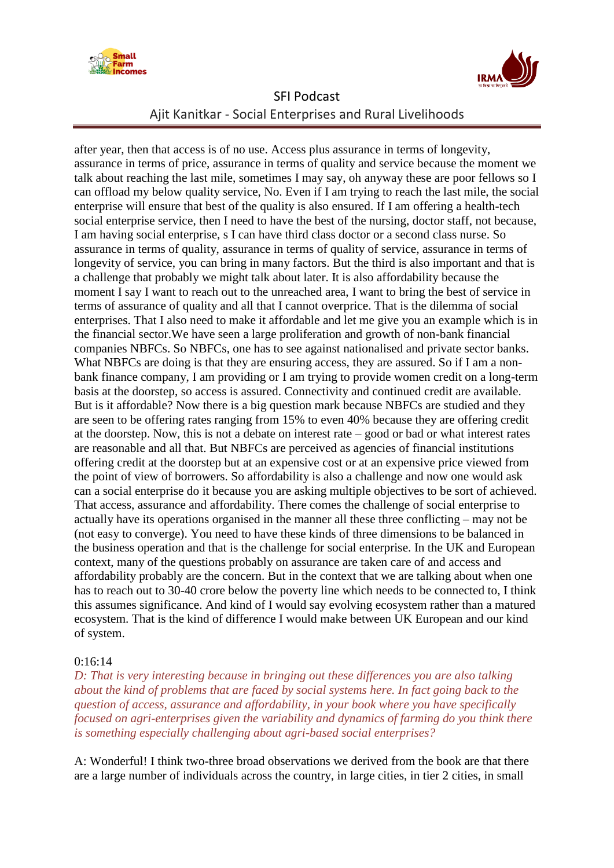



after year, then that access is of no use. Access plus assurance in terms of longevity, assurance in terms of price, assurance in terms of quality and service because the moment we talk about reaching the last mile, sometimes I may say, oh anyway these are poor fellows so I can offload my below quality service, No. Even if I am trying to reach the last mile, the social enterprise will ensure that best of the quality is also ensured. If I am offering a health-tech social enterprise service, then I need to have the best of the nursing, doctor staff, not because, I am having social enterprise, s I can have third class doctor or a second class nurse. So assurance in terms of quality, assurance in terms of quality of service, assurance in terms of longevity of service, you can bring in many factors. But the third is also important and that is a challenge that probably we might talk about later. It is also affordability because the moment I say I want to reach out to the unreached area, I want to bring the best of service in terms of assurance of quality and all that I cannot overprice. That is the dilemma of social enterprises. That I also need to make it affordable and let me give you an example which is in the financial sector.We have seen a large proliferation and growth of non-bank financial companies NBFCs. So NBFCs, one has to see against nationalised and private sector banks. What NBFCs are doing is that they are ensuring access, they are assured. So if I am a nonbank finance company, I am providing or I am trying to provide women credit on a long-term basis at the doorstep, so access is assured. Connectivity and continued credit are available. But is it affordable? Now there is a big question mark because NBFCs are studied and they are seen to be offering rates ranging from 15% to even 40% because they are offering credit at the doorstep. Now, this is not a debate on interest rate – good or bad or what interest rates are reasonable and all that. But NBFCs are perceived as agencies of financial institutions offering credit at the doorstep but at an expensive cost or at an expensive price viewed from the point of view of borrowers. So affordability is also a challenge and now one would ask can a social enterprise do it because you are asking multiple objectives to be sort of achieved. That access, assurance and affordability. There comes the challenge of social enterprise to actually have its operations organised in the manner all these three conflicting – may not be (not easy to converge). You need to have these kinds of three dimensions to be balanced in the business operation and that is the challenge for social enterprise. In the UK and European context, many of the questions probably on assurance are taken care of and access and affordability probably are the concern. But in the context that we are talking about when one has to reach out to 30-40 crore below the poverty line which needs to be connected to, I think this assumes significance. And kind of I would say evolving ecosystem rather than a matured ecosystem. That is the kind of difference I would make between UK European and our kind of system.

#### 0:16:14

*D: That is very interesting because in bringing out these differences you are also talking about the kind of problems that are faced by social systems here. In fact going back to the question of access, assurance and affordability, in your book where you have specifically focused on agri-enterprises given the variability and dynamics of farming do you think there is something especially challenging about agri-based social enterprises?*

A: Wonderful! I think two-three broad observations we derived from the book are that there are a large number of individuals across the country, in large cities, in tier 2 cities, in small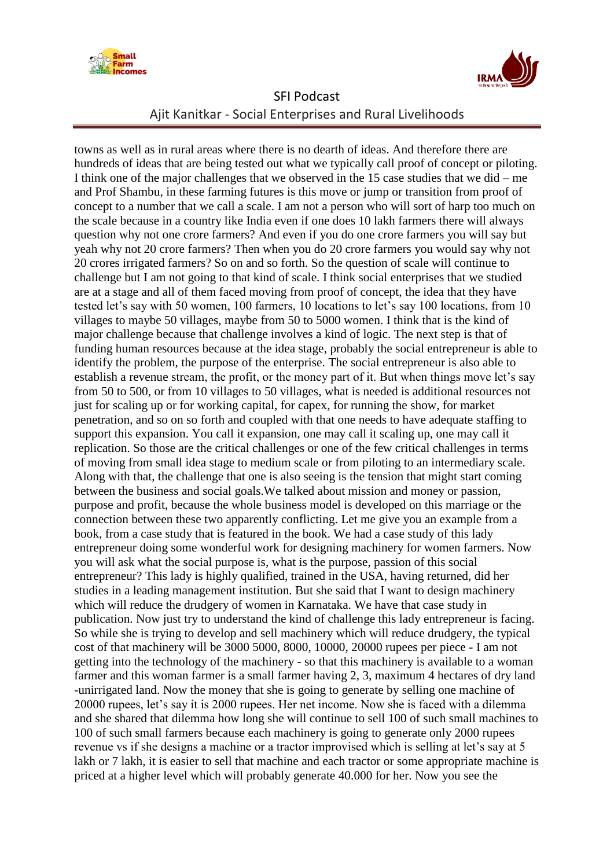



towns as well as in rural areas where there is no dearth of ideas. And therefore there are hundreds of ideas that are being tested out what we typically call proof of concept or piloting. I think one of the major challenges that we observed in the 15 case studies that we did – me and Prof Shambu, in these farming futures is this move or jump or transition from proof of concept to a number that we call a scale. I am not a person who will sort of harp too much on the scale because in a country like India even if one does 10 lakh farmers there will always question why not one crore farmers? And even if you do one crore farmers you will say but yeah why not 20 crore farmers? Then when you do 20 crore farmers you would say why not 20 crores irrigated farmers? So on and so forth. So the question of scale will continue to challenge but I am not going to that kind of scale. I think social enterprises that we studied are at a stage and all of them faced moving from proof of concept, the idea that they have tested let's say with 50 women, 100 farmers, 10 locations to let's say 100 locations, from 10 villages to maybe 50 villages, maybe from 50 to 5000 women. I think that is the kind of major challenge because that challenge involves a kind of logic. The next step is that of funding human resources because at the idea stage, probably the social entrepreneur is able to identify the problem, the purpose of the enterprise. The social entrepreneur is also able to establish a revenue stream, the profit, or the money part of it. But when things move let's say from 50 to 500, or from 10 villages to 50 villages, what is needed is additional resources not just for scaling up or for working capital, for capex, for running the show, for market penetration, and so on so forth and coupled with that one needs to have adequate staffing to support this expansion. You call it expansion, one may call it scaling up, one may call it replication. So those are the critical challenges or one of the few critical challenges in terms of moving from small idea stage to medium scale or from piloting to an intermediary scale. Along with that, the challenge that one is also seeing is the tension that might start coming between the business and social goals.We talked about mission and money or passion, purpose and profit, because the whole business model is developed on this marriage or the connection between these two apparently conflicting. Let me give you an example from a book, from a case study that is featured in the book. We had a case study of this lady entrepreneur doing some wonderful work for designing machinery for women farmers. Now you will ask what the social purpose is, what is the purpose, passion of this social entrepreneur? This lady is highly qualified, trained in the USA, having returned, did her studies in a leading management institution. But she said that I want to design machinery which will reduce the drudgery of women in Karnataka. We have that case study in publication. Now just try to understand the kind of challenge this lady entrepreneur is facing. So while she is trying to develop and sell machinery which will reduce drudgery, the typical cost of that machinery will be 3000 5000, 8000, 10000, 20000 rupees per piece - I am not getting into the technology of the machinery - so that this machinery is available to a woman farmer and this woman farmer is a small farmer having 2, 3, maximum 4 hectares of dry land -unirrigated land. Now the money that she is going to generate by selling one machine of 20000 rupees, let"s say it is 2000 rupees. Her net income. Now she is faced with a dilemma and she shared that dilemma how long she will continue to sell 100 of such small machines to 100 of such small farmers because each machinery is going to generate only 2000 rupees revenue vs if she designs a machine or a tractor improvised which is selling at let's say at 5 lakh or 7 lakh, it is easier to sell that machine and each tractor or some appropriate machine is priced at a higher level which will probably generate 40.000 for her. Now you see the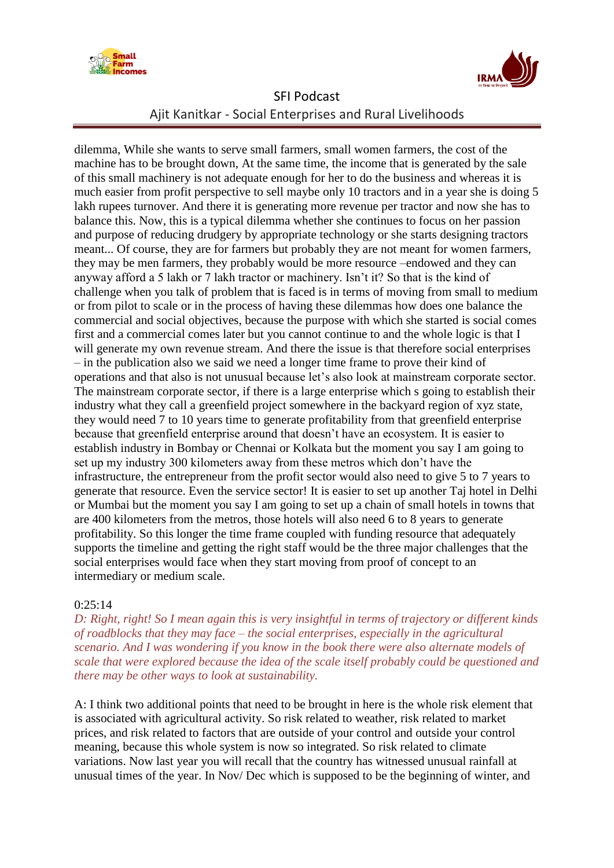



dilemma, While she wants to serve small farmers, small women farmers, the cost of the machine has to be brought down, At the same time, the income that is generated by the sale of this small machinery is not adequate enough for her to do the business and whereas it is much easier from profit perspective to sell maybe only 10 tractors and in a year she is doing 5 lakh rupees turnover. And there it is generating more revenue per tractor and now she has to balance this. Now, this is a typical dilemma whether she continues to focus on her passion and purpose of reducing drudgery by appropriate technology or she starts designing tractors meant... Of course, they are for farmers but probably they are not meant for women farmers, they may be men farmers, they probably would be more resource –endowed and they can anyway afford a 5 lakh or 7 lakh tractor or machinery. Isn't it? So that is the kind of challenge when you talk of problem that is faced is in terms of moving from small to medium or from pilot to scale or in the process of having these dilemmas how does one balance the commercial and social objectives, because the purpose with which she started is social comes first and a commercial comes later but you cannot continue to and the whole logic is that I will generate my own revenue stream. And there the issue is that therefore social enterprises – in the publication also we said we need a longer time frame to prove their kind of operations and that also is not unusual because let"s also look at mainstream corporate sector. The mainstream corporate sector, if there is a large enterprise which s going to establish their industry what they call a greenfield project somewhere in the backyard region of xyz state, they would need 7 to 10 years time to generate profitability from that greenfield enterprise because that greenfield enterprise around that doesn"t have an ecosystem. It is easier to establish industry in Bombay or Chennai or Kolkata but the moment you say I am going to set up my industry 300 kilometers away from these metros which don"t have the infrastructure, the entrepreneur from the profit sector would also need to give 5 to 7 years to generate that resource. Even the service sector! It is easier to set up another Taj hotel in Delhi or Mumbai but the moment you say I am going to set up a chain of small hotels in towns that are 400 kilometers from the metros, those hotels will also need 6 to 8 years to generate profitability. So this longer the time frame coupled with funding resource that adequately supports the timeline and getting the right staff would be the three major challenges that the social enterprises would face when they start moving from proof of concept to an intermediary or medium scale.

#### 0:25:14

*D: Right, right! So I mean again this is very insightful in terms of trajectory or different kinds of roadblocks that they may face – the social enterprises, especially in the agricultural scenario. And I was wondering if you know in the book there were also alternate models of scale that were explored because the idea of the scale itself probably could be questioned and there may be other ways to look at sustainability.*

A: I think two additional points that need to be brought in here is the whole risk element that is associated with agricultural activity. So risk related to weather, risk related to market prices, and risk related to factors that are outside of your control and outside your control meaning, because this whole system is now so integrated. So risk related to climate variations. Now last year you will recall that the country has witnessed unusual rainfall at unusual times of the year. In Nov/ Dec which is supposed to be the beginning of winter, and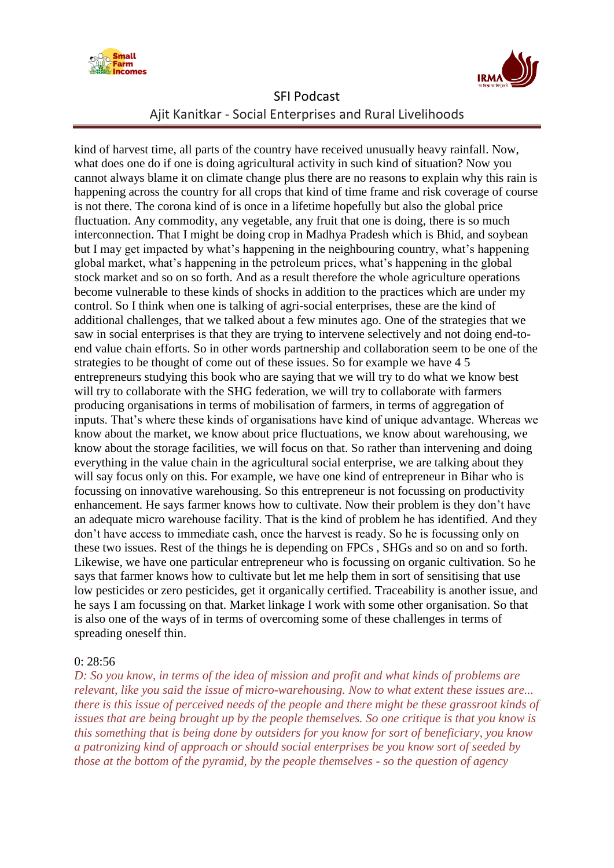



kind of harvest time, all parts of the country have received unusually heavy rainfall. Now, what does one do if one is doing agricultural activity in such kind of situation? Now you cannot always blame it on climate change plus there are no reasons to explain why this rain is happening across the country for all crops that kind of time frame and risk coverage of course is not there. The corona kind of is once in a lifetime hopefully but also the global price fluctuation. Any commodity, any vegetable, any fruit that one is doing, there is so much interconnection. That I might be doing crop in Madhya Pradesh which is Bhid, and soybean but I may get impacted by what"s happening in the neighbouring country, what"s happening global market, what"s happening in the petroleum prices, what"s happening in the global stock market and so on so forth. And as a result therefore the whole agriculture operations become vulnerable to these kinds of shocks in addition to the practices which are under my control. So I think when one is talking of agri-social enterprises, these are the kind of additional challenges, that we talked about a few minutes ago. One of the strategies that we saw in social enterprises is that they are trying to intervene selectively and not doing end-toend value chain efforts. So in other words partnership and collaboration seem to be one of the strategies to be thought of come out of these issues. So for example we have 4 5 entrepreneurs studying this book who are saying that we will try to do what we know best will try to collaborate with the SHG federation, we will try to collaborate with farmers producing organisations in terms of mobilisation of farmers, in terms of aggregation of inputs. That's where these kinds of organisations have kind of unique advantage. Whereas we know about the market, we know about price fluctuations, we know about warehousing, we know about the storage facilities, we will focus on that. So rather than intervening and doing everything in the value chain in the agricultural social enterprise, we are talking about they will say focus only on this. For example, we have one kind of entrepreneur in Bihar who is focussing on innovative warehousing. So this entrepreneur is not focussing on productivity enhancement. He says farmer knows how to cultivate. Now their problem is they don"t have an adequate micro warehouse facility. That is the kind of problem he has identified. And they don"t have access to immediate cash, once the harvest is ready. So he is focussing only on these two issues. Rest of the things he is depending on FPCs , SHGs and so on and so forth. Likewise, we have one particular entrepreneur who is focussing on organic cultivation. So he says that farmer knows how to cultivate but let me help them in sort of sensitising that use low pesticides or zero pesticides, get it organically certified. Traceability is another issue, and he says I am focussing on that. Market linkage I work with some other organisation. So that is also one of the ways of in terms of overcoming some of these challenges in terms of spreading oneself thin.

#### 0: 28:56

*D: So you know, in terms of the idea of mission and profit and what kinds of problems are relevant, like you said the issue of micro-warehousing. Now to what extent these issues are... there is this issue of perceived needs of the people and there might be these grassroot kinds of issues that are being brought up by the people themselves. So one critique is that you know is this something that is being done by outsiders for you know for sort of beneficiary, you know a patronizing kind of approach or should social enterprises be you know sort of seeded by those at the bottom of the pyramid, by the people themselves - so the question of agency*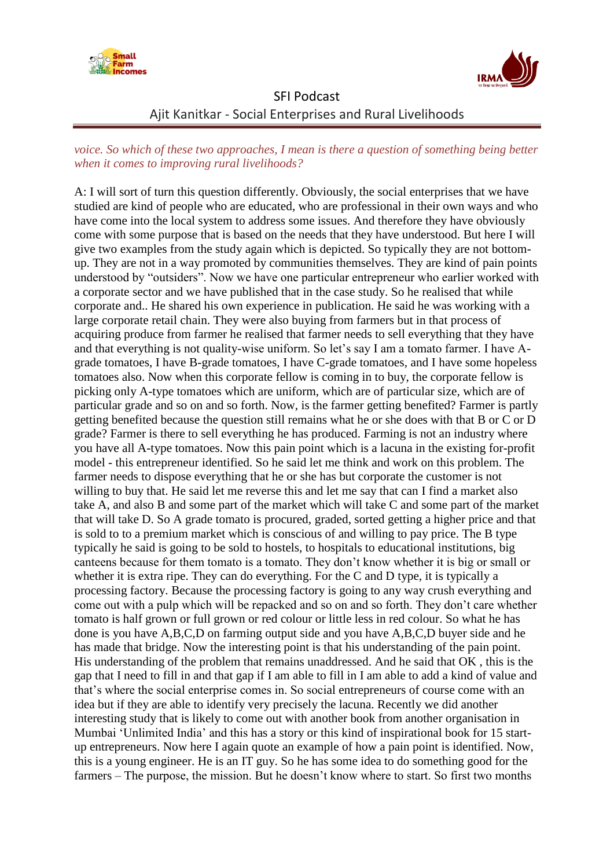



### *voice. So which of these two approaches, I mean is there a question of something being better when it comes to improving rural livelihoods?*

A: I will sort of turn this question differently. Obviously, the social enterprises that we have studied are kind of people who are educated, who are professional in their own ways and who have come into the local system to address some issues. And therefore they have obviously come with some purpose that is based on the needs that they have understood. But here I will give two examples from the study again which is depicted. So typically they are not bottomup. They are not in a way promoted by communities themselves. They are kind of pain points understood by "outsiders". Now we have one particular entrepreneur who earlier worked with a corporate sector and we have published that in the case study. So he realised that while corporate and.. He shared his own experience in publication. He said he was working with a large corporate retail chain. They were also buying from farmers but in that process of acquiring produce from farmer he realised that farmer needs to sell everything that they have and that everything is not quality-wise uniform. So let's say I am a tomato farmer. I have Agrade tomatoes, I have B-grade tomatoes, I have C-grade tomatoes, and I have some hopeless tomatoes also. Now when this corporate fellow is coming in to buy, the corporate fellow is picking only A-type tomatoes which are uniform, which are of particular size, which are of particular grade and so on and so forth. Now, is the farmer getting benefited? Farmer is partly getting benefited because the question still remains what he or she does with that B or C or D grade? Farmer is there to sell everything he has produced. Farming is not an industry where you have all A-type tomatoes. Now this pain point which is a lacuna in the existing for-profit model - this entrepreneur identified. So he said let me think and work on this problem. The farmer needs to dispose everything that he or she has but corporate the customer is not willing to buy that. He said let me reverse this and let me say that can I find a market also take A, and also B and some part of the market which will take C and some part of the market that will take D. So A grade tomato is procured, graded, sorted getting a higher price and that is sold to to a premium market which is conscious of and willing to pay price. The B type typically he said is going to be sold to hostels, to hospitals to educational institutions, big canteens because for them tomato is a tomato. They don"t know whether it is big or small or whether it is extra ripe. They can do everything. For the C and D type, it is typically a processing factory. Because the processing factory is going to any way crush everything and come out with a pulp which will be repacked and so on and so forth. They don"t care whether tomato is half grown or full grown or red colour or little less in red colour. So what he has done is you have A,B,C,D on farming output side and you have A,B,C,D buyer side and he has made that bridge. Now the interesting point is that his understanding of the pain point. His understanding of the problem that remains unaddressed. And he said that OK , this is the gap that I need to fill in and that gap if I am able to fill in I am able to add a kind of value and that"s where the social enterprise comes in. So social entrepreneurs of course come with an idea but if they are able to identify very precisely the lacuna. Recently we did another interesting study that is likely to come out with another book from another organisation in Mumbai "Unlimited India" and this has a story or this kind of inspirational book for 15 startup entrepreneurs. Now here I again quote an example of how a pain point is identified. Now, this is a young engineer. He is an IT guy. So he has some idea to do something good for the farmers – The purpose, the mission. But he doesn"t know where to start. So first two months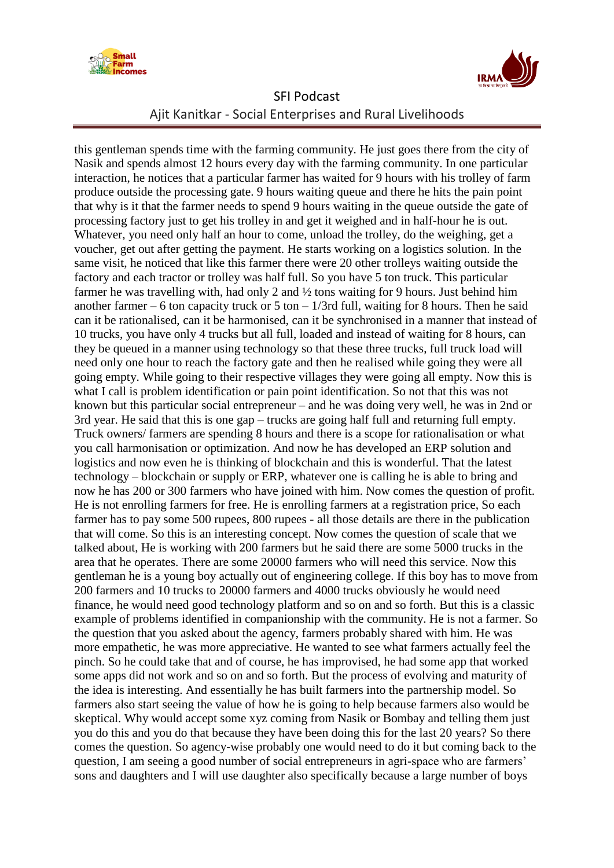



this gentleman spends time with the farming community. He just goes there from the city of Nasik and spends almost 12 hours every day with the farming community. In one particular interaction, he notices that a particular farmer has waited for 9 hours with his trolley of farm produce outside the processing gate. 9 hours waiting queue and there he hits the pain point that why is it that the farmer needs to spend 9 hours waiting in the queue outside the gate of processing factory just to get his trolley in and get it weighed and in half-hour he is out. Whatever, you need only half an hour to come, unload the trolley, do the weighing, get a voucher, get out after getting the payment. He starts working on a logistics solution. In the same visit, he noticed that like this farmer there were 20 other trolleys waiting outside the factory and each tractor or trolley was half full. So you have 5 ton truck. This particular farmer he was travelling with, had only 2 and ½ tons waiting for 9 hours. Just behind him another farmer – 6 ton capacity truck or 5 ton –  $1/3$ rd full, waiting for 8 hours. Then he said can it be rationalised, can it be harmonised, can it be synchronised in a manner that instead of 10 trucks, you have only 4 trucks but all full, loaded and instead of waiting for 8 hours, can they be queued in a manner using technology so that these three trucks, full truck load will need only one hour to reach the factory gate and then he realised while going they were all going empty. While going to their respective villages they were going all empty. Now this is what I call is problem identification or pain point identification. So not that this was not known but this particular social entrepreneur – and he was doing very well, he was in 2nd or 3rd year. He said that this is one gap – trucks are going half full and returning full empty. Truck owners/ farmers are spending 8 hours and there is a scope for rationalisation or what you call harmonisation or optimization. And now he has developed an ERP solution and logistics and now even he is thinking of blockchain and this is wonderful. That the latest technology – blockchain or supply or ERP, whatever one is calling he is able to bring and now he has 200 or 300 farmers who have joined with him. Now comes the question of profit. He is not enrolling farmers for free. He is enrolling farmers at a registration price, So each farmer has to pay some 500 rupees, 800 rupees - all those details are there in the publication that will come. So this is an interesting concept. Now comes the question of scale that we talked about, He is working with 200 farmers but he said there are some 5000 trucks in the area that he operates. There are some 20000 farmers who will need this service. Now this gentleman he is a young boy actually out of engineering college. If this boy has to move from 200 farmers and 10 trucks to 20000 farmers and 4000 trucks obviously he would need finance, he would need good technology platform and so on and so forth. But this is a classic example of problems identified in companionship with the community. He is not a farmer. So the question that you asked about the agency, farmers probably shared with him. He was more empathetic, he was more appreciative. He wanted to see what farmers actually feel the pinch. So he could take that and of course, he has improvised, he had some app that worked some apps did not work and so on and so forth. But the process of evolving and maturity of the idea is interesting. And essentially he has built farmers into the partnership model. So farmers also start seeing the value of how he is going to help because farmers also would be skeptical. Why would accept some xyz coming from Nasik or Bombay and telling them just you do this and you do that because they have been doing this for the last 20 years? So there comes the question. So agency-wise probably one would need to do it but coming back to the question, I am seeing a good number of social entrepreneurs in agri-space who are farmers' sons and daughters and I will use daughter also specifically because a large number of boys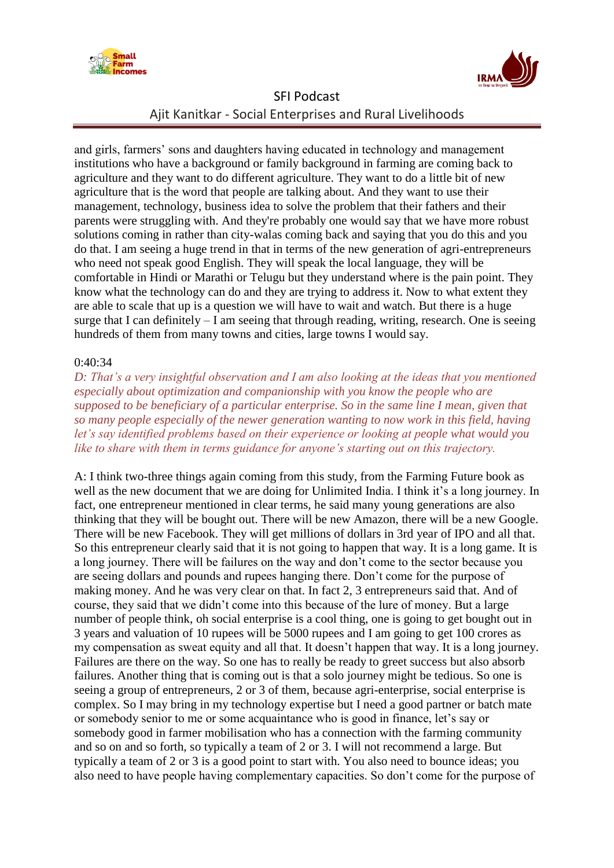



and girls, farmers" sons and daughters having educated in technology and management institutions who have a background or family background in farming are coming back to agriculture and they want to do different agriculture. They want to do a little bit of new agriculture that is the word that people are talking about. And they want to use their management, technology, business idea to solve the problem that their fathers and their parents were struggling with. And they're probably one would say that we have more robust solutions coming in rather than city-walas coming back and saying that you do this and you do that. I am seeing a huge trend in that in terms of the new generation of agri-entrepreneurs who need not speak good English. They will speak the local language, they will be comfortable in Hindi or Marathi or Telugu but they understand where is the pain point. They know what the technology can do and they are trying to address it. Now to what extent they are able to scale that up is a question we will have to wait and watch. But there is a huge surge that I can definitely – I am seeing that through reading, writing, research. One is seeing hundreds of them from many towns and cities, large towns I would say.

#### 0:40:34

*D: That's a very insightful observation and I am also looking at the ideas that you mentioned especially about optimization and companionship with you know the people who are supposed to be beneficiary of a particular enterprise. So in the same line I mean, given that so many people especially of the newer generation wanting to now work in this field, having let's say identified problems based on their experience or looking at people what would you like to share with them in terms guidance for anyone's starting out on this trajectory.*

A: I think two-three things again coming from this study, from the Farming Future book as well as the new document that we are doing for Unlimited India. I think it's a long journey. In fact, one entrepreneur mentioned in clear terms, he said many young generations are also thinking that they will be bought out. There will be new Amazon, there will be a new Google. There will be new Facebook. They will get millions of dollars in 3rd year of IPO and all that. So this entrepreneur clearly said that it is not going to happen that way. It is a long game. It is a long journey. There will be failures on the way and don"t come to the sector because you are seeing dollars and pounds and rupees hanging there. Don"t come for the purpose of making money. And he was very clear on that. In fact 2, 3 entrepreneurs said that. And of course, they said that we didn"t come into this because of the lure of money. But a large number of people think, oh social enterprise is a cool thing, one is going to get bought out in 3 years and valuation of 10 rupees will be 5000 rupees and I am going to get 100 crores as my compensation as sweat equity and all that. It doesn"t happen that way. It is a long journey. Failures are there on the way. So one has to really be ready to greet success but also absorb failures. Another thing that is coming out is that a solo journey might be tedious. So one is seeing a group of entrepreneurs, 2 or 3 of them, because agri-enterprise, social enterprise is complex. So I may bring in my technology expertise but I need a good partner or batch mate or somebody senior to me or some acquaintance who is good in finance, let"s say or somebody good in farmer mobilisation who has a connection with the farming community and so on and so forth, so typically a team of 2 or 3. I will not recommend a large. But typically a team of 2 or 3 is a good point to start with. You also need to bounce ideas; you also need to have people having complementary capacities. So don"t come for the purpose of